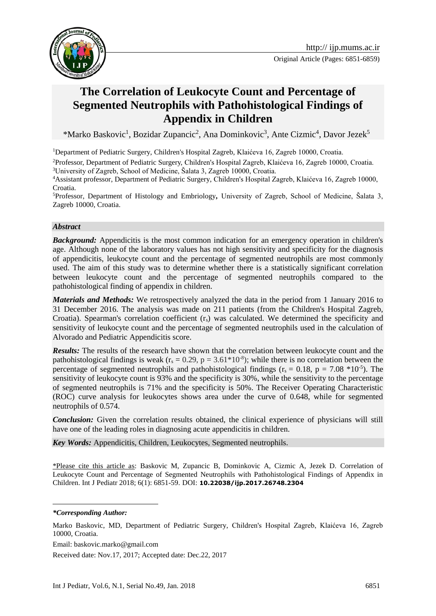



# **The Correlation of Leukocyte Count and Percentage of Segmented Neutrophils with Pathohistological Findings of Appendix in Children**

\*Marko Baskovic<sup>1</sup>, Bozidar Zupancic<sup>2</sup>, Ana Dominkovic<sup>3</sup>, Ante Cizmic<sup>4</sup>, Davor Jezek<sup>5</sup>

<sup>1</sup>Department of Pediatric Surgery, Children's Hospital Zagreb, Klaićeva 16, Zagreb 10000, Croatia.

<sup>2</sup>Professor, Department of Pediatric Surgery, Children's Hospital Zagreb, Klaićeva 16, Zagreb 10000, Croatia. <sup>3</sup>University of Zagreb, School of Medicine, Šalata 3, Zagreb 10000, Croatia.

<sup>4</sup>Assistant professor, Department of Pediatric Surgery, Children's Hospital Zagreb, Klaićeva 16, Zagreb 10000, Croatia.

<sup>5</sup>Professor, Department of Histology and Embriology*,* University of Zagreb, School of Medicine, Šalata 3, Zagreb 10000, Croatia.

#### *Abstract*

*Background:* Appendicitis is the most common indication for an emergency operation in children's age. Although none of the laboratory values has not high sensitivity and specificity for the diagnosis of appendicitis, leukocyte count and the percentage of segmented neutrophils are most commonly used. The aim of this study was to determine whether there is a statistically significant correlation between leukocyte count and the percentage of segmented neutrophils compared to the pathohistological finding of appendix in children.

*Materials and Methods:* We retrospectively analyzed the data in the period from 1 January 2016 to 31 December 2016. The analysis was made on 211 patients (from the Children's Hospital Zagreb, Croatia). Spearman's correlation coefficient  $(r<sub>s</sub>)$  was calculated. We determined the specificity and sensitivity of leukocyte count and the percentage of segmented neutrophils used in the calculation of Alvorado and Pediatric Appendicitis score.

*Results:* The results of the research have shown that the correlation between leukocyte count and the pathohistological findings is weak ( $r_s = 0.29$ ,  $p = 3.61*10<sup>-8</sup>$ ); while there is no correlation between the percentage of segmented neutrophils and pathohistological findings ( $r_s = 0.18$ ,  $p = 7.08 * 10^{-5}$ ). The sensitivity of leukocyte count is 93% and the specificity is 30%, while the sensitivity to the percentage of segmented neutrophils is 71% and the specificity is 50%. The Receiver Operating Characteristic (ROC) curve analysis for leukocytes shows area under the curve of 0.648, while for segmented neutrophils of 0.574.

*Conclusion:* Given the correlation results obtained, the clinical experience of physicians will still have one of the leading roles in diagnosing acute appendicitis in children.

*Key Words:* Appendicitis, Children, Leukocytes, Segmented neutrophils.

\*Please cite this article as: Baskovic M, Zupancic B, Dominkovic A, Cizmic A, Jezek D. Correlation of Leukocyte Count and Percentage of Segmented Neutrophils with Pathohistological Findings of Appendix in Children. Int J Pediatr 2018; 6(1): 6851-59. DOI: **10.22038/ijp.2017.26748.2304**

1

Email: baskovic.marko@gmail.com

Received date: Nov.17, 2017; Accepted date: Dec.22, 2017

*<sup>\*</sup>Corresponding Author:*

Marko Baskovic, MD, Department of Pediatric Surgery, Children's Hospital Zagreb, Klaićeva 16, Zagreb 10000, Croatia.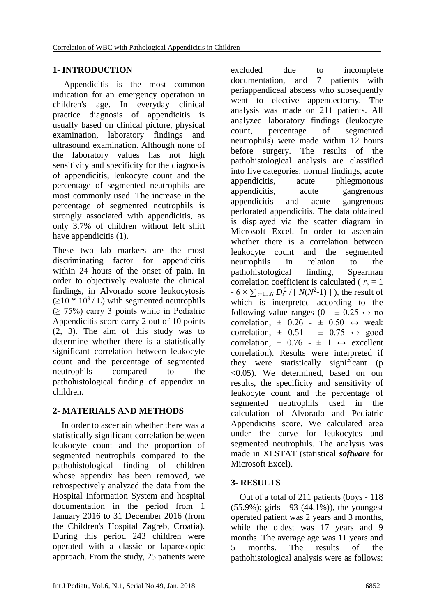### **1- INTRODUCTION**

 Appendicitis is the most common indication for an emergency operation in children's age. In everyday clinical practice diagnosis of appendicitis is usually based on clinical picture, physical examination, laboratory findings and ultrasound examination. Although none of the laboratory values has not high sensitivity and specificity for the diagnosis of appendicitis, leukocyte count and the percentage of segmented neutrophils are most commonly used. The increase in the percentage of segmented neutrophils is strongly associated with appendicitis, as only 3.7% of children without left shift have appendicitis  $(1)$ .

These two lab markers are the most discriminating factor for appendicitis within 24 hours of the onset of pain. In order to objectively evaluate the clinical findings, in Alvorado score leukocytosis  $(210 * 10^9$  / L) with segmented neutrophils  $(≥ 75%)$  carry 3 points while in Pediatric Appendicitis score carry 2 out of 10 points (2, 3). The aim of this study was to determine whether there is a statistically significant correlation between leukocyte count and the percentage of segmented neutrophils compared to the pathohistological finding of appendix in children.

# **2- MATERIALS AND METHODS**

 In order to ascertain whether there was a statistically significant correlation between leukocyte count and the proportion of segmented neutrophils compared to the pathohistological finding of children whose appendix has been removed, we retrospectively analyzed the data from the Hospital Information System and hospital documentation in the period from 1 January 2016 to 31 December 2016 (from the Children's Hospital Zagreb, Croatia). During this period 243 children were operated with a classic or laparoscopic approach. From the study, 25 patients were excluded due to incomplete documentation, and 7 patients with periappendiceal abscess who subsequently went to elective appendectomy. The analysis was made on 211 patients. All analyzed laboratory findings (leukocyte count, percentage of segmented neutrophils) were made within 12 hours before surgery. The results of the pathohistological analysis are classified into five categories: normal findings, acute appendicitis, acute phlegmonous appendicitis, acute gangrenous appendicitis and acute gangrenous perforated appendicitis. The data obtained is displayed via the scatter diagram in Microsoft Excel. In order to ascertain whether there is a correlation between leukocyte count and the segmented neutrophils in relation to the pathohistological finding, Spearman correlation coefficient is calculated ( $r<sub>s</sub> = 1$ )  $-6 \times \sum_{i=1...N} D_i^2 / [N(N^2-1)]$ , the result of which is interpreted according to the following value ranges (0 -  $\pm$  0.25  $\leftrightarrow$  no correlation,  $\pm$  0.26 -  $\pm$  0.50  $\leftrightarrow$  weak correlation,  $\pm$  0.51 -  $\pm$  0.75  $\leftrightarrow$  good correlation,  $\pm$  0.76 -  $\pm$  1  $\leftrightarrow$  excellent correlation). Results were interpreted if they were statistically significant (p <0.05). We determined, based on our results, the specificity and sensitivity of leukocyte count and the percentage of segmented neutrophils used in the calculation of Alvorado and Pediatric Appendicitis score. We calculated area under the curve for leukocytes and segmented neutrophils. The analysis was made in XLSTAT (statistical *software* for Microsoft Excel).

# **3- RESULTS**

 Out of a total of 211 patients (boys - 118 (55.9%); girls - 93 (44.1%)), the youngest operated patient was 2 years and 3 months, while the oldest was 17 years and 9 months. The average age was 11 years and 5 months. The results of the pathohistological analysis were as follows: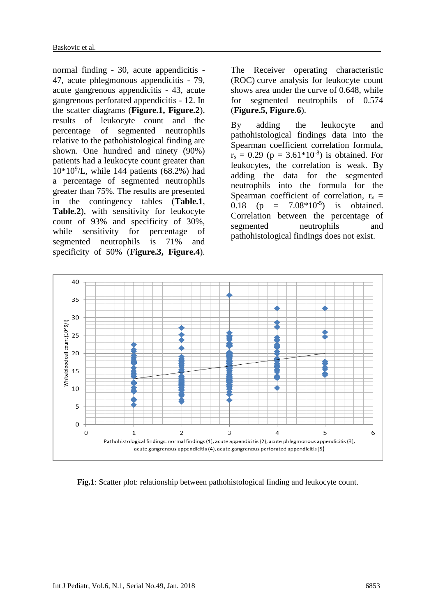normal finding - 30, acute appendicitis - 47, acute phlegmonous appendicitis - 79, acute gangrenous appendicitis - 43, acute gangrenous perforated appendicitis - 12. In the scatter diagrams (**Figure.1, Figure.2**), results of leukocyte count and the percentage of segmented neutrophils relative to the pathohistological finding are shown. One hundred and ninety (90%) patients had a leukocyte count greater than 10\*10<sup>9</sup> /L, while 144 patients (68.2%) had a percentage of segmented neutrophils greater than 75%. The results are presented in the contingency tables (**Table.1**, **Table.2**), with sensitivity for leukocyte count of 93% and specificity of 30%, while sensitivity for percentage of segmented neutrophils is 71% and specificity of 50% (**Figure.3, Figure.4**).

The Receiver operating characteristic (ROC) curve analysis for leukocyte count shows area under the curve of 0.648, while for segmented neutrophils of 0.574 (**Figure.5, Figure.6**).

By adding the leukocyte and pathohistological findings data into the Spearman coefficient correlation formula,  $r_s = 0.29$  ( $p = 3.61*10^{-8}$ ) is obtained. For leukocytes, the correlation is weak. By adding the data for the segmented neutrophils into the formula for the Spearman coefficient of correlation,  $r_s$  = 0.18 (p =  $7.08*10^{-5}$ ) is obtained. Correlation between the percentage of segmented neutrophils and pathohistological findings does not exist.



**Fig.1**: Scatter plot: relationship between pathohistological finding and leukocyte count.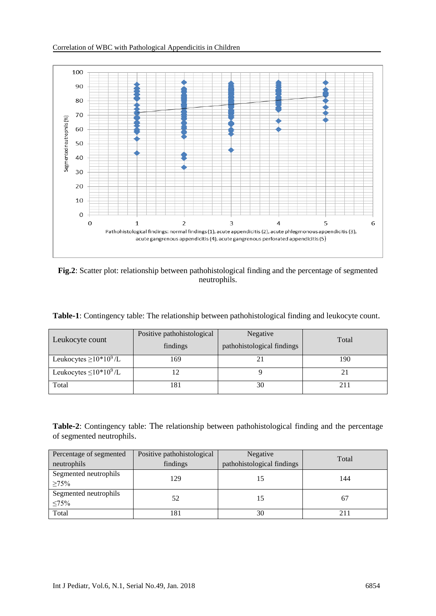

**Fig.2**: Scatter plot: relationship between pathohistological finding and the percentage of segmented neutrophils.

| Table-1: Contingency table: The relationship between pathohistological finding and leukocyte count. |  |  |  |  |
|-----------------------------------------------------------------------------------------------------|--|--|--|--|
|-----------------------------------------------------------------------------------------------------|--|--|--|--|

| Leukocyte count                                      | Positive pathohistological<br>findings | Negative<br>pathohistological findings | Total |
|------------------------------------------------------|----------------------------------------|----------------------------------------|-------|
| Leukocytes $\geq$ 10 <sup>*</sup> 10 <sup>9</sup> /L | 169                                    |                                        | 190   |
| Leukocytes $\leq 10*10^9$ /L                         |                                        |                                        |       |
| Total                                                | 181                                    | 30                                     |       |

**Table-2**: Contingency table: The relationship between pathohistological finding and the percentage of segmented neutrophils.

| Percentage of segmented              | Positive pathohistological | Negative                   | Total |
|--------------------------------------|----------------------------|----------------------------|-------|
| neutrophils                          | findings                   | pathohistological findings |       |
| Segmented neutrophils<br>$\geq 75\%$ | 129                        |                            | 144   |
| Segmented neutrophils<br>$\leq 75\%$ | 52                         |                            | 67    |
| Total                                | 181                        | 30                         |       |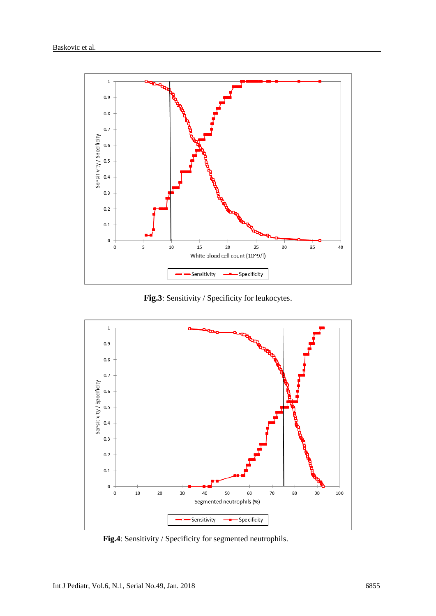

**Fig.3**: Sensitivity / Specificity for leukocytes.



 **Fig.4**: Sensitivity / Specificity for segmented neutrophils.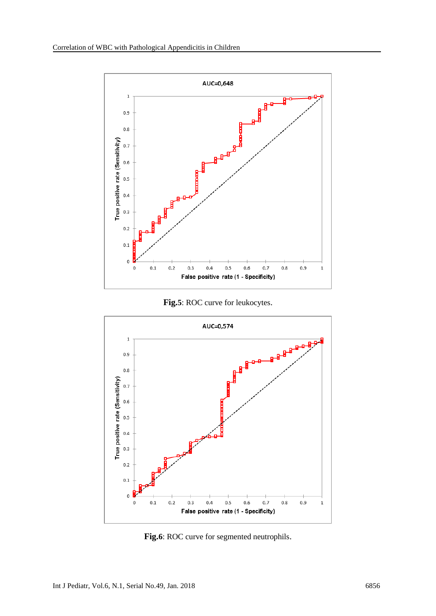

**Fig.5**: ROC curve for leukocytes.



**Fig.6**: ROC curve for segmented neutrophils.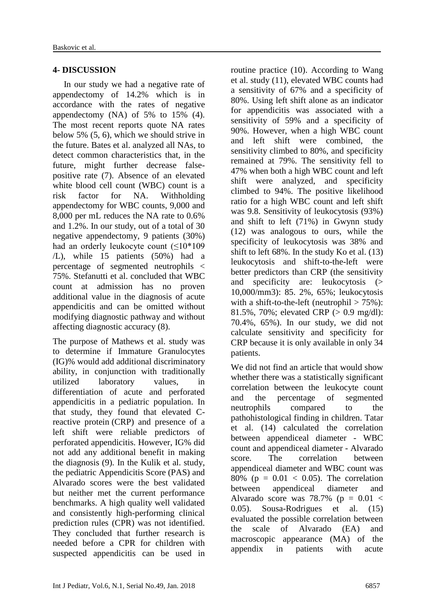#### **4- DISCUSSION**

 In our study we had a negative rate of appendectomy of 14.2% which is in accordance with the rates of negative appendectomy (NA) of 5% to 15% (4). The most recent reports quote NA rates below 5% (5, 6), which we should strive in the future. Bates et al. analyzed all NAs, to detect common characteristics that, in the future, might further decrease falsepositive rate (7). Absence of an elevated white blood cell count (WBC) count is a risk factor for NA. Withholding appendectomy for WBC counts, 9,000 and 8,000 per mL reduces the NA rate to 0.6% and 1.2%. In our study, out of a total of 30 negative appendectomy, 9 patients (30%) had an orderly leukocyte count  $($ <10<sup>\*</sup>109 /L), while 15 patients (50%) had a percentage of segmented neutrophils < 75%. Stefanutti et al. concluded that WBC count at admission has no proven additional value in the diagnosis of acute appendicitis and can be omitted without modifying diagnostic pathway and without affecting diagnostic accuracy (8).

The purpose of Mathews et al. study was to determine if [Immature Granulocytes](https://www.google.com/url?sa=t&rct=j&q=&esrc=s&source=web&cd=1&cad=rja&uact=8&ved=0ahUKEwj68N7Qm53YAhXNZFAKHXHIAx0QFgglMAA&url=http%3A%2F%2Fwww.sysmex-europe.com%2Facademy%2Fknowledge-centre%2Fsysmex-parameters%2Fimmature-granulocyte-ig-count.html&usg=AOvVaw0pOyROjsV7ZVzyxRDivMhl) (IG)% would add additional discriminatory ability, in conjunction with traditionally utilized laboratory values, in differentiation of acute and perforated appendicitis in a pediatric population. In that study, they found that elevated Creactive protein (CRP) and presence of a left shift were reliable predictors of perforated appendicitis. However, IG% did not add any additional benefit in making the diagnosis (9). In the Kulik et al. study, the pediatric Appendicitis Score (PAS) and Alvarado scores were the best validated but neither met the current performance benchmarks. A high quality well validated and consistently high-performing clinical prediction rules (CPR) was not identified. They concluded that further research is needed before a CPR for children with suspected appendicitis can be used in routine practice (10). According to Wang et al. study (11), elevated WBC counts had a sensitivity of 67% and a specificity of 80%. Using left shift alone as an indicator for appendicitis was associated with a sensitivity of 59% and a specificity of 90%. However, when a high WBC count and left shift were combined, the sensitivity climbed to 80%, and specificity remained at 79%. The sensitivity fell to 47% when both a high WBC count and left shift were analyzed, and specificity climbed to 94%. The positive likelihood ratio for a high WBC count and left shift was 9.8. Sensitivity of leukocytosis (93%) and shift to left (71%) in Gwynn study (12) was analogous to ours, while the specificity of leukocytosis was 38% and shift to left 68%. In the study Ko et al. (13) leukocytosis and shift-to-the-left were better predictors than CRP (the sensitivity and specificity are: leukocytosis (> 10,000/mm3): 85. 2%, 65%; leukocytosis with a shift-to-the-left (neutrophil  $> 75\%$ ): 81.5%, 70%; elevated CRP (> 0.9 mg/dl): 70.4%, 65%). In our study, we did not calculate sensitivity and specificity for CRP because it is only available in only 34 patients.

We did not find an article that would show whether there was a statistically significant correlation between the leukocyte count and the percentage of segmented neutrophils compared to the pathohistological finding in children. Tatar et al. (14) calculated the correlation between appendiceal diameter - WBC count and appendiceal diameter - Alvarado score. The correlation between appendiceal diameter and WBC count was 80% ( $p = 0.01 < 0.05$ ). The correlation between appendiceal diameter and Alvarado score was 78.7% ( $p = 0.01$  < 0.05). Sousa-Rodrigues et al. (15) evaluated the possible correlation between the scale of Alvarado (EA) and macroscopic appearance (MA) of the appendix in patients with acute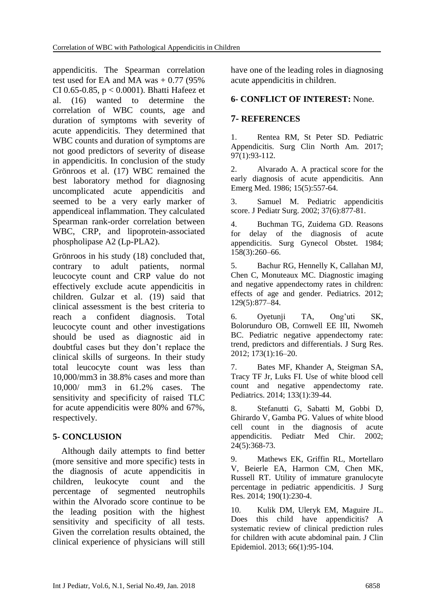appendicitis. The Spearman correlation test used for EA and MA was  $+0.77$  (95%) CI 0.65-0.85, p < 0.0001). Bhatti Hafeez et al. (16) wanted to determine the correlation of WBC counts, age and duration of symptoms with severity of acute appendicitis. They determined that WBC counts and duration of symptoms are not good predictors of severity of disease in appendicitis. In conclusion of the study Grönroos et al. (17) WBC remained the best laboratory method for diagnosing uncomplicated acute appendicitis and seemed to be a very early marker of appendiceal inflammation. They calculated Spearman rank-order correlation between WBC, CRP, and lipoprotein-associated phospholipase A2 (Lp-PLA2).

Grönroos in his study (18) concluded that, contrary to adult patients, normal leucocyte count and CRP value do not effectively exclude acute appendicitis in children. Gulzar et al. (19) said that clinical assessment is the best criteria to reach a confident diagnosis. Total leucocyte count and other investigations should be used as diagnostic aid in doubtful cases but they don't replace the clinical skills of surgeons. In their study total leucocyte count was less than 10,000/mm3 in 38.8% cases and more than 10,000/ mm3 in 61.2% cases. The sensitivity and specificity of raised TLC for acute appendicitis were 80% and 67%, respectively.

# **5- CONCLUSION**

 Although daily attempts to find better (more sensitive and more specific) tests in the diagnosis of acute appendicitis in children, leukocyte count and the percentage of segmented neutrophils within the Alvorado score continue to be the leading position with the highest sensitivity and specificity of all tests. Given the correlation results obtained, the clinical experience of physicians will still have one of the leading roles in diagnosing acute appendicitis in children.

#### **6- CONFLICT OF INTEREST:** None.

### **7- REFERENCES**

1. Rentea RM, St Peter SD. Pediatric Appendicitis. Surg Clin North Am. 2017; 97(1):93-112.

2. Alvarado A. A practical score for the early diagnosis of acute appendicitis. Ann Emerg Med. 1986; 15(5):557-64.

3. Samuel M. Pediatric appendicitis score. J Pediatr Surg. 2002; 37(6):877-81.

4. Buchman TG, Zuidema GD. Reasons for delay of the diagnosis of acute appendicitis. Surg Gynecol Obstet. 1984; 158(3):260–66.

5. Bachur RG, Hennelly K, Callahan MJ, Chen C, Monuteaux MC. Diagnostic imaging and negative appendectomy rates in children: effects of age and gender. Pediatrics. 2012; 129(5):877–84.

6. Oyetunji TA, Ong'uti SK, Bolorunduro OB, Cornwell EE III, Nwomeh BC. Pediatric negative appendectomy rate: trend, predictors and differentials. J Surg Res. 2012; 173(1):16–20.

7. Bates MF, Khander A, Steigman SA, Tracy TF Jr, Luks FI. Use of white blood cell count and negative appendectomy rate. Pediatrics. 2014; 133(1):39-44.

8. Stefanutti G, Sabatti M, Gobbi D, Ghirardo V, Gamba PG. Values of white blood cell count in the diagnosis of acute appendicitis. Pediatr Med Chir. 2002; 24(5):368-73.

9. Mathews EK, Griffin RL, Mortellaro V, Beierle EA, Harmon CM, Chen MK, Russell RT. Utility of immature granulocyte percentage in pediatric appendicitis. J Surg Res. 2014; 190(1):230-4.

10. Kulik DM, Uleryk EM, Maguire JL. Does this child have appendicitis? A systematic review of clinical prediction rules for children with acute abdominal pain. J Clin Epidemiol. 2013; 66(1):95-104.